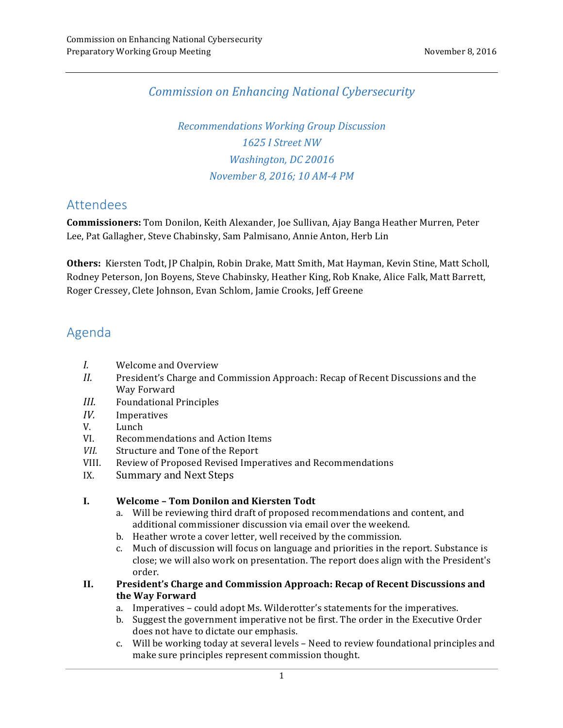### *Commission on Enhancing National Cybersecurity*

 *Recommendations Working Group Discussion 1625 I Street NW Washington, DC 20016 November 8, 2016; 10 AM-4 PM*

## Attendees

 **Commissioners:** Tom Donilon, Keith Alexander, Joe Sullivan, Ajay Banga Heather Murren, Peter Lee, Pat Gallagher, Steve Chabinsky, Sam Palmisano, Annie Anton, Herb Lin

 **Others:** Kiersten Todt, JP Chalpin, Robin Drake, Matt Smith, Mat Hayman, Kevin Stine, Matt Scholl, Rodney Peterson, Jon Boyens, Steve Chabinsky, Heather King, Rob Knake, Alice Falk, Matt Barrett, Roger Cressey, Clete Johnson, Evan Schlom, Jamie Crooks, Jeff Greene

# Agenda

- *I.*  Welcome and Overview
- II. President's Charge and Commission Approach: Recap of Recent Discussions and the Way Forward
- *III.*  Foundational Principles
- *IV.* Imperatives
- V. Lunch
- VI. Recommendations and Action Items
- **VII.** Structure and Tone of the Report
- VIII. Review of Proposed Revised Imperatives and Recommendations
- IX. Summary and Next Steps

### **I. Welcome – Tom Donilon and Kiersten Todt**

- a. Will be reviewing third draft of proposed recommendations and content, and additional commissioner discussion via email over the weekend.
- b. Heather wrote a cover letter, well received by the commission.
- c. Much of discussion will focus on language and priorities in the report. Substance is close; we will also work on presentation. The report does align with the President's order.
- **II. President's Charge and Commission Approach: Recap of Recent Discussions and the Way Forward**
	- a. Imperatives could adopt Ms. Wilderotter's statements for the imperatives.
	- b. Suggest the government imperative not be first. The order in the Executive Order does not have to dictate our emphasis.
	- c. Will be working today at several levels Need to review foundational principles and make sure principles represent commission thought.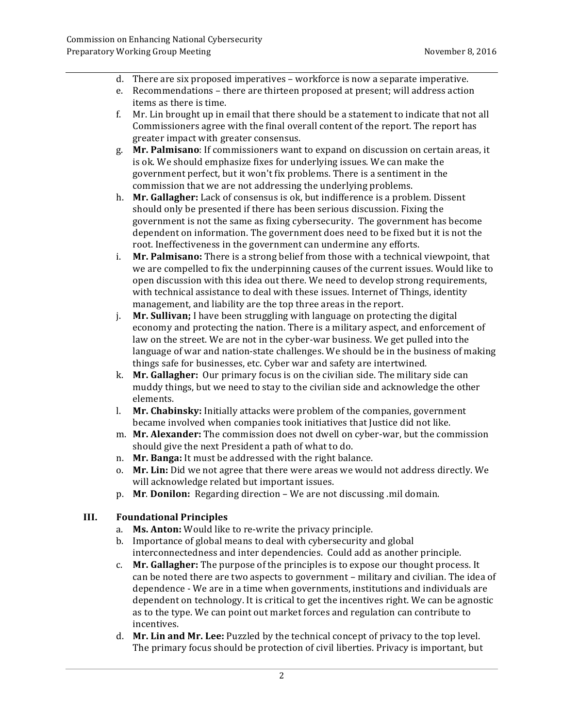- d. There are six proposed imperatives workforce is now a separate imperative.
- e. Recommendations there are thirteen proposed at present; will address action items as there is time.
- f. Mr. Lin brought up in email that there should be a statement to indicate that not all Commissioners agree with the final overall content of the report. The report has greater impact with greater consensus.
- g. **Mr. Palmisano**: If commissioners want to expand on discussion on certain areas, it is ok. We should emphasize fixes for underlying issues. We can make the government perfect, but it won't fix problems. There is a sentiment in the commission that we are not addressing the underlying problems.
- h. Mr. Gallagher: Lack of consensus is ok, but indifference is a problem. Dissent should only be presented if there has been serious discussion. Fixing the government is not the same as fixing cybersecurity. The government has become dependent on information. The government does need to be fixed but it is not the root. Ineffectiveness in the government can undermine any efforts.
- i. **Mr. Palmisano:** There is a strong belief from those with a technical viewpoint, that we are compelled to fix the underpinning causes of the current issues. Would like to open discussion with this idea out there. We need to develop strong requirements, with technical assistance to deal with these issues. Internet of Things, identity management, and liability are the top three areas in the report.
- j. **Mr. Sullivan;** I have been struggling with language on protecting the digital economy and protecting the nation. There is a military aspect, and enforcement of law on the street. We are not in the cyber-war business. We get pulled into the language of war and nation-state challenges. We should be in the business of making things safe for businesses, etc. Cyber war and safety are intertwined.
- k. Mr. Gallagher: Our primary focus is on the civilian side. The military side can muddy things, but we need to stay to the civilian side and acknowledge the other elements.
- l. Mr. Chabinsky: Initially attacks were problem of the companies, government became involved when companies took initiatives that Justice did not like.
- m. **Mr. Alexander:** The commission does not dwell on cyber-war, but the commission should give the next President a path of what to do.
- n. Mr. Banga: It must be addressed with the right balance.
- o. Mr. Lin: Did we not agree that there were areas we would not address directly. We will acknowledge related but important issues.
- p. Mr. Donilon: Regarding direction We are not discussing .mil domain.

### **III. Foundational Principles**

- a. **Ms. Anton:** Would like to re-write the privacy principle.
- b. Importance of global means to deal with cybersecurity and global interconnectedness and inter dependencies. Could add as another principle.
- c. **Mr. Gallagher:** The purpose of the principles is to expose our thought process. It can be noted there are two aspects to government - military and civilian. The idea of dependence - We are in a time when governments, institutions and individuals are dependent on technology. It is critical to get the incentives right. We can be agnostic as to the type. We can point out market forces and regulation can contribute to incentives.
- d. **Mr. Lin and Mr. Lee:** Puzzled by the technical concept of privacy to the top level. The primary focus should be protection of civil liberties. Privacy is important, but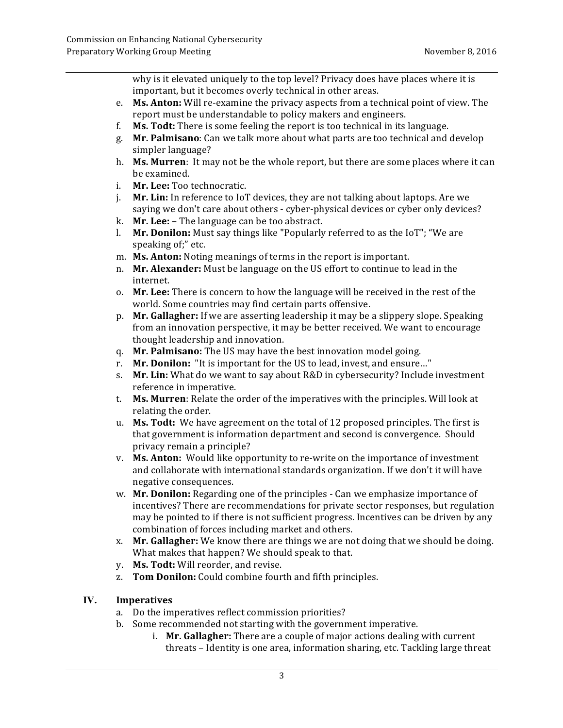why is it elevated uniquely to the top level? Privacy does have places where it is important, but it becomes overly technical in other areas.

- e. Ms. Anton: Will re-examine the privacy aspects from a technical point of view. The report must be understandable to policy makers and engineers.
- f. Ms. Todt: There is some feeling the report is too technical in its language.
- g. **Mr. Palmisano**: Can we talk more about what parts are too technical and develop simpler language?
- h. **Ms. Murren**: It may not be the whole report, but there are some places where it can be examined.
- i. **Mr. Lee:** Too technocratic.
- j. **Mr. Lin:** In reference to IoT devices, they are not talking about laptops. Are we saying we don't care about others - cyber-physical devices or cyber only devices?
- k. **Mr. Lee:** The language can be too abstract.
- **l.** Mr. Donilon: Must say things like "Popularly referred to as the IoT"; "We are speaking of;" etc.
- m. **Ms. Anton:** Noting meanings of terms in the report is important.
- n. **Mr. Alexander:** Must be language on the US effort to continue to lead in the internet.
- o. Mr. Lee: There is concern to how the language will be received in the rest of the world. Some countries may find certain parts offensive.
- p. Mr. Gallagher: If we are asserting leadership it may be a slippery slope. Speaking from an innovation perspective, it may be better received. We want to encourage thought leadership and innovation.
- q. Mr. Palmisano: The US may have the best innovation model going.
- r. Mr. Donilon: "It is important for the US to lead, invest, and ensure..."
- s. **Mr. Lin:** What do we want to say about R&D in cybersecurity? Include investment reference in imperative.
- t. **Ms. Murren**: Relate the order of the imperatives with the principles. Will look at relating the order.
- u. Ms. Todt: We have agreement on the total of 12 proposed principles. The first is that government is information department and second is convergence. Should privacy remain a principle?
- v. Ms. Anton: Would like opportunity to re-write on the importance of investment and collaborate with international standards organization. If we don't it will have negative consequences.
- w. **Mr. Donilon:** Regarding one of the principles Can we emphasize importance of incentives? There are recommendations for private sector responses, but regulation may be pointed to if there is not sufficient progress. Incentives can be driven by any combination of forces including market and others.
- x. **Mr. Gallagher:** We know there are things we are not doing that we should be doing. What makes that happen? We should speak to that.
- y. **Ms. Todt:** Will reorder, and revise.
- z. **Tom Donilon:** Could combine fourth and fifth principles.

### **IV. Imperatives**

- a. Do the imperatives reflect commission priorities?
- b. Some recommended not starting with the government imperative.
	- i. **Mr. Gallagher:** There are a couple of major actions dealing with current threats – Identity is one area, information sharing, etc. Tackling large threat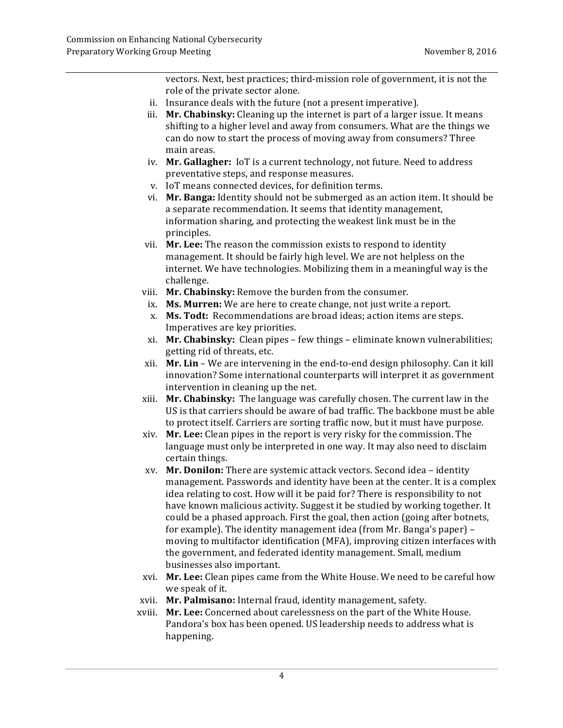vectors. Next, best practices; third-mission role of government, it is not the role of the private sector alone.

- ii. Insurance deals with the future (not a present imperative).
- iii. **Mr. Chabinsky:** Cleaning up the internet is part of a larger issue. It means shifting to a higher level and away from consumers. What are the things we can do now to start the process of moving away from consumers? Three main areas.
- iv. Mr. Gallagher: IoT is a current technology, not future. Need to address preventative steps, and response measures.
- v. IoT means connected devices, for definition terms.
- vi. Mr. Banga: Identity should not be submerged as an action item. It should be a separate recommendation. It seems that identity management, information sharing, and protecting the weakest link must be in the principles.
- vii. **Mr. Lee:** The reason the commission exists to respond to identity management. It should be fairly high level. We are not helpless on the internet. We have technologies. Mobilizing them in a meaningful way is the challenge.
- viii. **Mr. Chabinsky:** Remove the burden from the consumer.
- ix. **Ms. Murren:** We are here to create change, not just write a report.
- x. **Ms. Todt:** Recommendations are broad ideas; action items are steps. Imperatives are key priorities.
- xi. Mr. Chabinsky: Clean pipes few things eliminate known vulnerabilities; getting rid of threats, etc.
- xii. **Mr. Lin** We are intervening in the end-to-end design philosophy. Can it kill innovation? Some international counterparts will interpret it as government intervention in cleaning up the net.
- xiii. **Mr. Chabinsky:** The language was carefully chosen. The current law in the US is that carriers should be aware of bad traffic. The backbone must be able to protect itself. Carriers are sorting traffic now, but it must have purpose.
- xiv. **Mr. Lee:** Clean pipes in the report is very risky for the commission. The language must only be interpreted in one way. It may also need to disclaim certain things.
- xv. **Mr. Donilon:** There are systemic attack vectors. Second idea identity management. Passwords and identity have been at the center. It is a complex idea relating to cost. How will it be paid for? There is responsibility to not have known malicious activity. Suggest it be studied by working together. It could be a phased approach. First the goal, then action (going after botnets, moving to multifactor identification (MFA), improving citizen interfaces with the government, and federated identity management. Small, medium businesses also important. for example). The identity management idea (from Mr. Banga's paper) -
- xvi. **Mr. Lee:** Clean pipes came from the White House. We need to be careful how we speak of it.
- xvii. **Mr. Palmisano:** Internal fraud, identity management, safety.
- xviii. **Mr. Lee:** Concerned about carelessness on the part of the White House. Pandora's box has been opened. US leadership needs to address what is happening.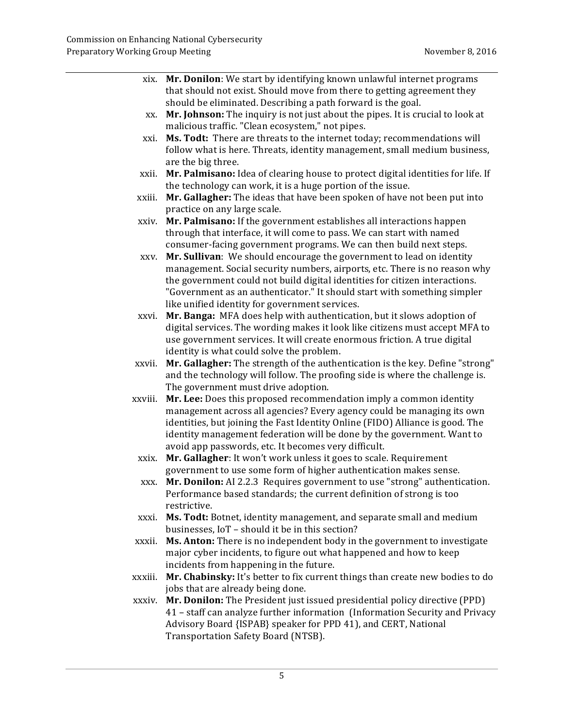|         | xix. Mr. Donilon: We start by identifying known unlawful internet programs       |
|---------|----------------------------------------------------------------------------------|
|         | that should not exist. Should move from there to getting agreement they          |
|         | should be eliminated. Describing a path forward is the goal.                     |
| XX.     | Mr. Johnson: The inquiry is not just about the pipes. It is crucial to look at   |
|         | malicious traffic. "Clean ecosystem," not pipes.                                 |
| xxi.    | Ms. Todt: There are threats to the internet today; recommendations will          |
|         | follow what is here. Threats, identity management, small medium business,        |
|         | are the big three.                                                               |
| xxii.   | Mr. Palmisano: Idea of clearing house to protect digital identities for life. If |
|         | the technology can work, it is a huge portion of the issue.                      |
| xxiii.  | Mr. Gallagher: The ideas that have been spoken of have not been put into         |
|         | practice on any large scale.                                                     |
| xxiv.   | Mr. Palmisano: If the government establishes all interactions happen             |
|         | through that interface, it will come to pass. We can start with named            |
|         | consumer-facing government programs. We can then build next steps.               |
| XXV.    | Mr. Sullivan: We should encourage the government to lead on identity             |
|         | management. Social security numbers, airports, etc. There is no reason why       |
|         | the government could not build digital identities for citizen interactions.      |
|         | "Government as an authenticator." It should start with something simpler         |
|         | like unified identity for government services.                                   |
| xxvi.   | Mr. Banga: MFA does help with authentication, but it slows adoption of           |
|         | digital services. The wording makes it look like citizens must accept MFA to     |
|         | use government services. It will create enormous friction. A true digital        |
|         | identity is what could solve the problem.                                        |
| xxvii.  | Mr. Gallagher: The strength of the authentication is the key. Define "strong"    |
|         | and the technology will follow. The proofing side is where the challenge is.     |
|         | The government must drive adoption.                                              |
| xxviii. | Mr. Lee: Does this proposed recommendation imply a common identity               |
|         | management across all agencies? Every agency could be managing its own           |
|         | identities, but joining the Fast Identity Online (FIDO) Alliance is good. The    |
|         | identity management federation will be done by the government. Want to           |
|         | avoid app passwords, etc. It becomes very difficult.                             |
| xxix.   | Mr. Gallagher: It won't work unless it goes to scale. Requirement                |
|         | government to use some form of higher authentication makes sense.                |
| XXX.    | Mr. Donilon: AI 2.2.3 Requires government to use "strong" authentication.        |
|         | Performance based standards; the current definition of strong is too             |
|         | restrictive.                                                                     |
| xxxi.   | Ms. Todt: Botnet, identity management, and separate small and medium             |
|         | businesses, IoT - should it be in this section?                                  |
| xxxii.  | Ms. Anton: There is no independent body in the government to investigate         |
|         | major cyber incidents, to figure out what happened and how to keep               |
|         | incidents from happening in the future.                                          |
| xxxiii. | Mr. Chabinsky: It's better to fix current things than create new bodies to do    |
|         | jobs that are already being done.                                                |
| xxxiv.  | Mr. Donilon: The President just issued presidential policy directive (PPD)       |
|         | 41 - staff can analyze further information (Information Security and Privacy     |
|         | Advisory Board {ISPAB} speaker for PPD 41), and CERT, National                   |
|         | Transportation Safety Board (NTSB).                                              |
|         |                                                                                  |
|         |                                                                                  |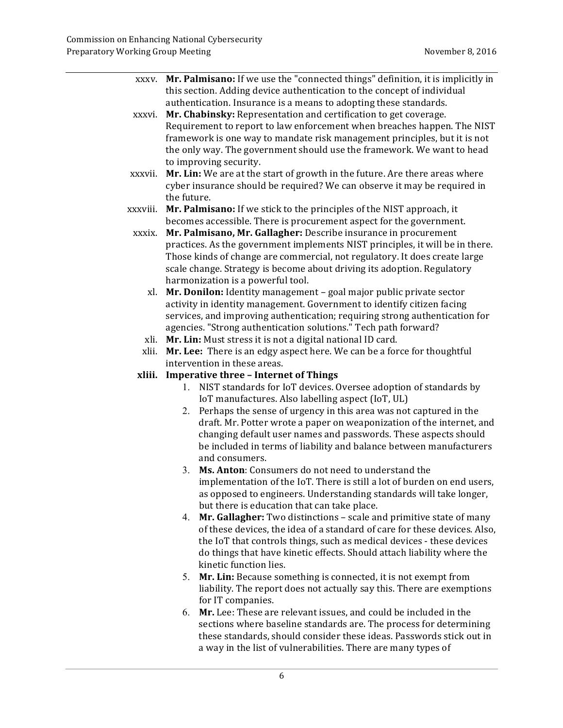|          | xxxv. Mr. Palmisano: If we use the "connected things" definition, it is implicitly in |  |  |  |  |
|----------|---------------------------------------------------------------------------------------|--|--|--|--|
|          | this section. Adding device authentication to the concept of individual               |  |  |  |  |
|          | authentication. Insurance is a means to adopting these standards.                     |  |  |  |  |
| xxxvi.   | Mr. Chabinsky: Representation and certification to get coverage.                      |  |  |  |  |
|          | Requirement to report to law enforcement when breaches happen. The NIST               |  |  |  |  |
|          | framework is one way to mandate risk management principles, but it is not             |  |  |  |  |
|          | the only way. The government should use the framework. We want to head                |  |  |  |  |
|          | to improving security.                                                                |  |  |  |  |
| xxxvii.  | Mr. Lin: We are at the start of growth in the future. Are there areas where           |  |  |  |  |
|          | cyber insurance should be required? We can observe it may be required in              |  |  |  |  |
|          | the future.                                                                           |  |  |  |  |
| xxxviii. | Mr. Palmisano: If we stick to the principles of the NIST approach, it                 |  |  |  |  |
|          | becomes accessible. There is procurement aspect for the government.                   |  |  |  |  |
| xxxix.   | Mr. Palmisano, Mr. Gallagher: Describe insurance in procurement                       |  |  |  |  |
|          | practices. As the government implements NIST principles, it will be in there.         |  |  |  |  |
|          | Those kinds of change are commercial, not regulatory. It does create large            |  |  |  |  |
|          | scale change. Strategy is become about driving its adoption. Regulatory               |  |  |  |  |
|          | harmonization is a powerful tool.                                                     |  |  |  |  |
|          | xl. Mr. Donilon: Identity management - goal major public private sector               |  |  |  |  |
|          | activity in identity management. Government to identify citizen facing                |  |  |  |  |
|          | services, and improving authentication; requiring strong authentication for           |  |  |  |  |
|          | agencies. "Strong authentication solutions." Tech path forward?                       |  |  |  |  |
|          | xli. Mr. Lin: Must stress it is not a digital national ID card.                       |  |  |  |  |
| xlii.    | Mr. Lee: There is an edgy aspect here. We can be a force for thoughtful               |  |  |  |  |
|          | intervention in these areas.                                                          |  |  |  |  |
| xliii.   | <b>Imperative three - Internet of Things</b>                                          |  |  |  |  |
|          | 1. NIST standards for IoT devices. Oversee adoption of standards by                   |  |  |  |  |
|          | IoT manufactures. Also labelling aspect (IoT, UL)                                     |  |  |  |  |
|          | 2. Perhaps the sense of urgency in this area was not captured in the                  |  |  |  |  |
|          | draft. Mr. Potter wrote a paper on weaponization of the internet, and                 |  |  |  |  |
|          | changing default user names and passwords. These aspects should                       |  |  |  |  |
|          | be included in terms of liability and balance between manufacturers                   |  |  |  |  |
|          | and consumers.                                                                        |  |  |  |  |
|          | Ms. Anton: Consumers do not need to understand the<br>3.                              |  |  |  |  |
|          | implementation of the IoT. There is still a lot of burden on end users,               |  |  |  |  |
|          | as opposed to engineers. Understanding standards will take longer,                    |  |  |  |  |
|          | but there is education that can take place.                                           |  |  |  |  |
|          | Mr. Gallagher: Two distinctions - scale and primitive state of many<br>4.             |  |  |  |  |
|          | of these devices, the idea of a standard of care for these devices. Also,             |  |  |  |  |
|          | the IoT that controls things, such as medical devices - these devices                 |  |  |  |  |
|          | do things that have kinetic effects. Should attach liability where the                |  |  |  |  |
|          | kinetic function lies.                                                                |  |  |  |  |
|          | Mr. Lin: Because something is connected, it is not exempt from<br>5.                  |  |  |  |  |
|          | liability. The report does not actually say this. There are exemptions                |  |  |  |  |
|          | for IT companies.                                                                     |  |  |  |  |
|          | Mr. Lee: These are relevant issues, and could be included in the<br>6.                |  |  |  |  |
|          | sections where baseline standards are. The process for determining                    |  |  |  |  |
|          | these standards, should consider these ideas. Passwords stick out in                  |  |  |  |  |
|          | a way in the list of vulnerabilities. There are many types of                         |  |  |  |  |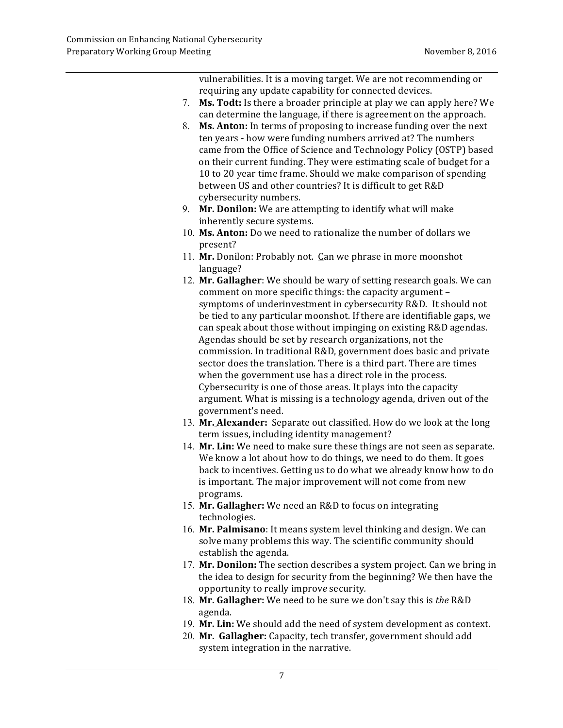vulnerabilities. It is a moving target. We are not recommending or requiring any update capability for connected devices.

- 7. Ms. Todt: Is there a broader principle at play we can apply here? We can determine the language, if there is agreement on the approach.
- 8. **Ms. Anton:** In terms of proposing to increase funding over the next ten years - how were funding numbers arrived at? The numbers came from the Office of Science and Technology Policy (OSTP) based on their current funding. They were estimating scale of budget for a 10 to 20 year time frame. Should we make comparison of spending between US and other countries? It is difficult to get R&D cybersecurity numbers.
- 9. Mr. Donilon: We are attempting to identify what will make inherently secure systems.
- 10. Ms. Anton: Do we need to rationalize the number of dollars we present?
- 11. **Mr.** Donilon: Probably not. Can we phrase in more moonshot language?
- 12. Mr. Gallagher: We should be wary of setting research goals. We can comment on more specific things: the capacity argument symptoms of underinvestment in cybersecurity R&D. It should not be tied to any particular moonshot. If there are identifiable gaps, we can speak about those without impinging on existing R&D agendas. Agendas should be set by research organizations, not the commission. In traditional R&D, government does basic and private sector does the translation. There is a third part. There are times when the government use has a direct role in the process. Cybersecurity is one of those areas. It plays into the capacity argument. What is missing is a technology agenda, driven out of the government's need.
- 13. Mr. Alexander: Separate out classified. How do we look at the long term issues, including identity management?
- 14. **Mr. Lin:** We need to make sure these things are not seen as separate. We know a lot about how to do things, we need to do them. It goes back to incentives. Getting us to do what we already know how to do is important. The major improvement will not come from new programs.
- 15. **Mr. Gallagher:** We need an R&D to focus on integrating technologies.
- 16. Mr. Palmisano: It means system level thinking and design. We can solve many problems this way. The scientific community should establish the agenda.
- 17. Mr. Donilon: The section describes a system project. Can we bring in the idea to design for security from the beginning? We then have the opportunity to really improve security.
- 18. Mr. Gallagher: We need to be sure we don't say this is the R&D agenda.
- 19. Mr. Lin: We should add the need of system development as context.
- 20. Mr. Gallagher: Capacity, tech transfer, government should add system integration in the narrative.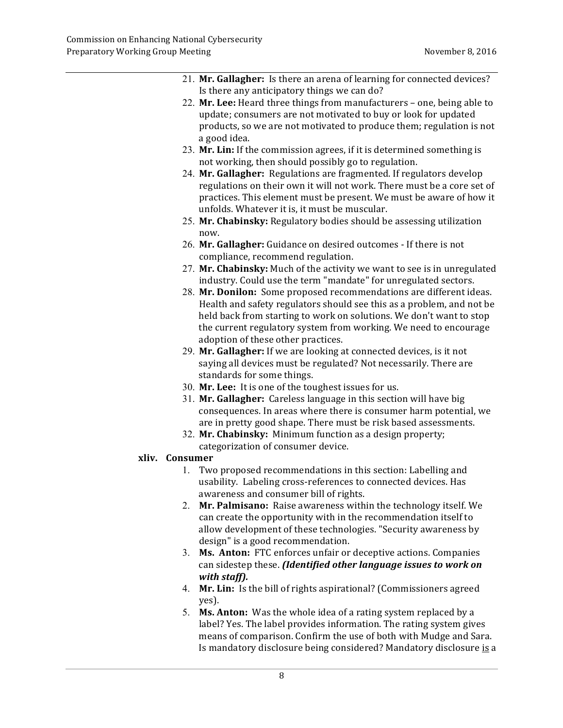- 21. **Mr. Gallagher:** Is there an arena of learning for connected devices? Is there any anticipatory things we can do?
- 22. Mr. Lee: Heard three things from manufacturers one, being able to update; consumers are not motivated to buy or look for updated products, so we are not motivated to produce them; regulation is not a good idea.
- 23. Mr. Lin: If the commission agrees, if it is determined something is not working, then should possibly go to regulation.
- 24. Mr. Gallagher: Regulations are fragmented. If regulators develop regulations on their own it will not work. There must be a core set of practices. This element must be present. We must be aware of how it unfolds. Whatever it is, it must be muscular.
- 25. **Mr. Chabinsky:** Regulatory bodies should be assessing utilization now.
- 26. **Mr. Gallagher:** Guidance on desired outcomes If there is not compliance, recommend regulation.
- 27. **Mr. Chabinsky:** Much of the activity we want to see is in unregulated industry. Could use the term "mandate" for unregulated sectors.
- 28. **Mr. Donilon:** Some proposed recommendations are different ideas. Health and safety regulators should see this as a problem, and not be held back from starting to work on solutions. We don't want to stop the current regulatory system from working. We need to encourage adoption of these other practices.
- 29. **Mr. Gallagher:** If we are looking at connected devices, is it not saying all devices must be regulated? Not necessarily. There are standards for some things.
- 30. Mr. Lee: It is one of the toughest issues for us.
- 31. **Mr. Gallagher:** Careless language in this section will have big consequences. In areas where there is consumer harm potential, we are in pretty good shape. There must be risk based assessments.
- 32. **Mr. Chabinsky:** Minimum function as a design property; categorization of consumer device.

### **xliv. Consumer**

- 1. Two proposed recommendations in this section: Labelling and usability. Labeling cross-references to connected devices. Has awareness and consumer bill of rights.
- 2. Mr. Palmisano: Raise awareness within the technology itself. We can create the opportunity with in the recommendation itself to allow development of these technologies. "Security awareness by design" is a good recommendation.
- 3. **Ms. Anton:** FTC enforces unfair or deceptive actions. Companies  can sidestep these. *(Identified other language issues to work on with staff).*
- 4. Mr. Lin: Is the bill of rights aspirational? (Commissioners agreed yes).
- 5. **Ms. Anton:** Was the whole idea of a rating system replaced by a label? Yes. The label provides information. The rating system gives means of comparison. Confirm the use of both with Mudge and Sara. Is mandatory disclosure being considered? Mandatory disclosure is a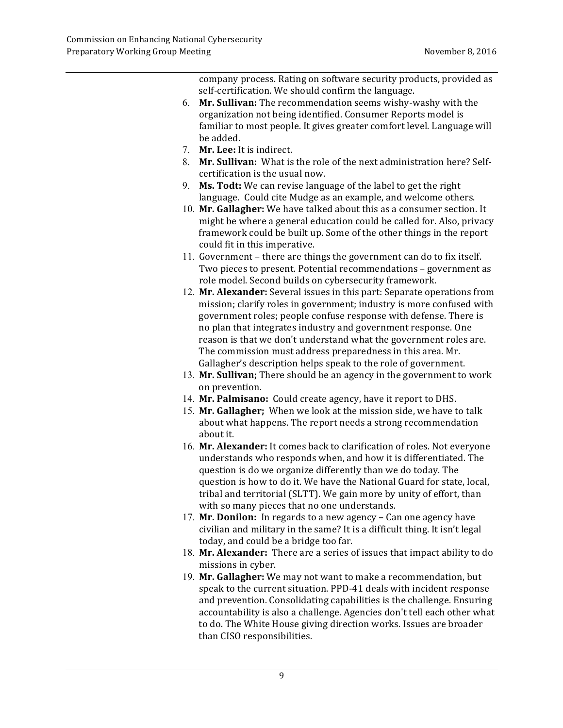company process. Rating on software security products, provided as self-certification. We should confirm the language.

- 6. **Mr. Sullivan:** The recommendation seems wishy-washy with the organization not being identified. Consumer Reports model is familiar to most people. It gives greater comfort level. Language will be added.
- 7. **Mr. Lee:** It is indirect.
- 8. **Mr. Sullivan:** What is the role of the next administration here? Self- certification is the usual now.
- 9. **Ms. Todt:** We can revise language of the label to get the right language. Could cite Mudge as an example, and welcome others.
- 10. **Mr. Gallagher:** We have talked about this as a consumer section. It might be where a general education could be called for. Also, privacy framework could be built up. Some of the other things in the report could fit in this imperative.
- 11. Government there are things the government can do to fix itself. Two pieces to present. Potential recommendations – government as role model. Second builds on cybersecurity framework.
- 12. Mr. Alexander: Several issues in this part: Separate operations from mission; clarify roles in government; industry is more confused with government roles; people confuse response with defense. There is no plan that integrates industry and government response. One reason is that we don't understand what the government roles are. The commission must address preparedness in this area. Mr. Gallagher's description helps speak to the role of government.
- 13. Mr. Sullivan; There should be an agency in the government to work on prevention.
- 14. **Mr. Palmisano:** Could create agency, have it report to DHS.
- 15. **Mr. Gallagher;** When we look at the mission side, we have to talk about what happens. The report needs a strong recommendation about it.
- 16. Mr. Alexander: It comes back to clarification of roles. Not everyone understands who responds when, and how it is differentiated. The question is do we organize differently than we do today. The question is how to do it. We have the National Guard for state, local, tribal and territorial (SLTT). We gain more by unity of effort, than with so many pieces that no one understands.
- 17. **Mr. Donilon:** In regards to a new agency Can one agency have civilian and military in the same? It is a difficult thing. It isn't legal today, and could be a bridge too far.
- 18. **Mr. Alexander:** There are a series of issues that impact ability to do missions in cyber.
- 19. Mr. Gallagher: We may not want to make a recommendation, but speak to the current situation. PPD-41 deals with incident response and prevention. Consolidating capabilities is the challenge. Ensuring accountability is also a challenge. Agencies don't tell each other what to do. The White House giving direction works. Issues are broader than CISO responsibilities.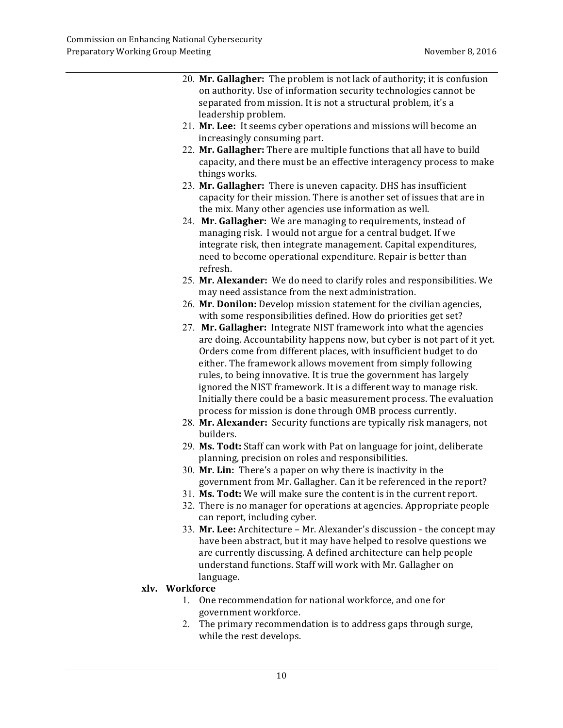| 20. Mr. Gallagher: The problem is not lack of authority; it is confusion |
|--------------------------------------------------------------------------|
| on authority. Use of information security technologies cannot be         |
| separated from mission. It is not a structural problem, it's a           |
| leadership problem.                                                      |

- 21. Mr. Lee: It seems cyber operations and missions will become an increasingly consuming part.
- 22. Mr. Gallagher: There are multiple functions that all have to build capacity, and there must be an effective interagency process to make things works.
- 23. Mr. Gallagher: There is uneven capacity. DHS has insufficient capacity for their mission. There is another set of issues that are in the mix. Many other agencies use information as well.
- 24. Mr. Gallagher: We are managing to requirements, instead of managing risk. I would not argue for a central budget. If we integrate risk, then integrate management. Capital expenditures, need to become operational expenditure. Repair is better than refresh.
- 25. **Mr. Alexander:** We do need to clarify roles and responsibilities. We may need assistance from the next administration.
- 26. **Mr. Donilon:** Develop mission statement for the civilian agencies, with some responsibilities defined. How do priorities get set?
- 27. Mr. Gallagher: Integrate NIST framework into what the agencies are doing. Accountability happens now, but cyber is not part of it yet. Orders come from different places, with insufficient budget to do either. The framework allows movement from simply following rules, to being innovative. It is true the government has largely ignored the NIST framework. It is a different way to manage risk. Initially there could be a basic measurement process. The evaluation process for mission is done through OMB process currently.
- 28. Mr. Alexander: Security functions are typically risk managers, not builders.
- 29. **Ms. Todt:** Staff can work with Pat on language for joint, deliberate  planning, precision on roles and responsibilities.
- 30. Mr. Lin: There's a paper on why there is inactivity in the government from Mr. Gallagher. Can it be referenced in the report?
- 31. **Ms. Todt:** We will make sure the content is in the current report.
- 32. There is no manager for operations at agencies. Appropriate people can report, including cyber.
- have been abstract, but it may have helped to resolve questions we are currently discussing. A defined architecture can help people understand functions. Staff will work with Mr. Gallagher on 33. Mr. Lee: Architecture - Mr. Alexander's discussion - the concept may language.

#### **xlv. Workforce**

- 1. One recommendation for national workforce, and one for government workforce.
- 2. The primary recommendation is to address gaps through surge, while the rest develops.